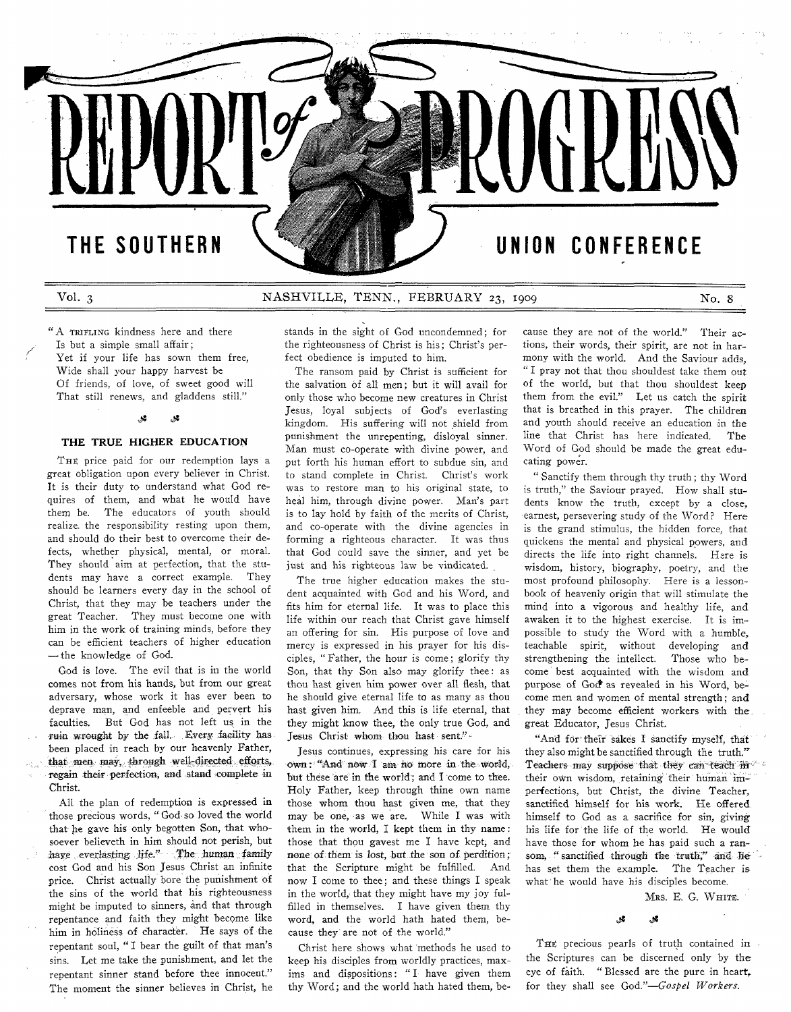# THE SOUTHERN WAS SERVED ON THE SOUTHERN UNION CONFERENCE

## **Vol. 3 N ASH VILLE, TEN N ., FEBRUARY 23, 1909 No. 8**

" A TRIFLING kindness here and there Is but a simple small affair; Yet if your life has sown them free,

Wide shall your happy harvest be Of friends, of love, of sweet good will That still renews, and gladdens still."

#### ع.<br>م -A

## **THE TRUE HIGHER EDUCATION**

THE price paid for our redemption lays a great obligation upon every believer in Christ. It is their duty to understand what God requires of them, and what he would have them be. The educators of youth should realize, the responsibility resting upon them, and should do their best to overcome their defects, whether physical, mental, or moral. They should aim at perfection, that the students may have a correct example. They should be learners every day in the school of Christ, that they may be teachers under the great Teacher. They must become one with him in the work of training minds, before they can be efficient teachers of higher education — the knowledge of God.

God is love. The evil that is in the world comes not from his hands, but from our great adversary, whose work it has ever been to deprave man, and enfeeble and pervert his faculties. But God has not left us in the ruin wrought by the fall. Every facility has been placed in reach by our heavenly Father, that men may, through well-directed efforts, regain their perfection, and stand complete in Christ.

All the plan of redemption is expressed in those precious words, *"* God so loved the world that he gave his only begotten Son, that whosoever believeth in him should not perish, but have everlasting life." The human family cost God and his Son Jesus Christ an infinite price. Christ actually bore the punishment of the sins of the world that his righteousness might be imputed to sinners, and that through repentance and faith they might become like him in holiness of character. He says of the repentant soul, " I bear the guilt of that man's sins. Let me take the punishment, and let the repentant sinner stand before thee innocent." The moment the sinner believes in Christ, he stands in the sight of God uncondemned; for the righteousness of Christ is his; Christ's perfect obedience is imputed to him.

The ransom paid by Christ is sufficient for the salvation of all men; but it will avail for only those who become new creatures in Christ Jesus, loyal subjects of God's everlasting kingdom. His suffering will not shield from punishment the unrepenting, disloyal sinner. Man must co-operate with divine power, and put forth his human effort to subdue sin, and to stand complete in Christ. Christ's work was to restore man to his original state, to heal him, through divine power. Man's part is to lay hold by faith of the merits of Christ, and co-operate with the divine agencies in forming a righteous character. It was thus that God could save the sinner, and yet be just and his righteous law be vindicated.

The true higher education makes the student acquainted with God and his Word, and fits him for eternal life. It was to place this life within our reach that Christ gave himself an offering for sin. His purpose of love and mercy is expressed in his prayer for his disciples, " Father, the hour is come; glorify thy Son, that thy Son also may glorify thee: as thou hast given him power over all flesh, that he should give eternal life to as many as thou hast given him. And this is life eternal, that they might know thee, the only true God, and Jesus Christ whom thou hast sent." -

Jesus continues, expressing his care for his own : "And now  $I$  am no more in the world, but these are in the world: and I come to thee. Holy Father, keep through thine own name those whom thou hast given me, that they may be one, as we are. While I was with them in the world, I kept them in thy name : those that thou gavest me I have kept, and none of them is lost, but the son of perdition; that the Scripture might be fulfilled. And now I come to thee; and these things I speak in the world, that they might have my joy fulfilled in themselves. I have given them thy word, and the world hath hated them, because they are not of the world."

Christ here shows what methods he used to keep his disciples from worldly practices, maxims and dispositions: "I have given them thy Word; and the world hath hated them, because they are not of the world." Their actions, their words, their spirit, are not in harmony with the world. And the Saviour adds, " I pray not that thou shouldest take them out of the world, but that thou shouldest keep them from the evil." Let us catch the spirit that is breathed in this prayer. The children and youth should receive an education in the line that Christ has here indicated. The W ord of God should be made the great educating power.

" Sanctify them through thy truth; thy Word is truth," the Saviour prayed. How shall students know the truth, except by a close, earnest, persevering study of the Word? Here is the grand stimulus, the hidden force, that quickens the mental and physical powers, and directs the life into right channels. Here is wisdom, history, biography, poetry, and the most profound philosophy. Here is a lessonbook of heavenly origin that will stimulate the mind into a vigorous and healthy life, and awaken it to the highest exercise. It is impossible to study the Word with a humble, teachable spirit, without developing and strengthening the intellect. Those who become best acquainted with the wisdom and purpose of God as revealed in his Word, become men and women of mental strength; and they may become efficient workers with the. great Educator, Jesus Christ.

"And for their sakes I sanctify myself, that they also might be sanctified through the truth."' Teachers may suppose that they can teach in their own wisdom, retaining their human imperfections, but Christ, the divine Teacher, sanctified himself for his work. He offered, himself to God as a sacrifice for sin, giving his life for the life of the world. He would have those for whom he has paid such a ransom, "sanctified through the truth," and he has set them the example. The Teacher is what he would have his disciples become.

MRS. E. G. WHITE.

#### k. -A

THE precious pearls of truth contained in the Scriptures can be discerned only by the eye of faith. " Blessed are the pure in heart, for they shall see God*."— Gospel Workers.*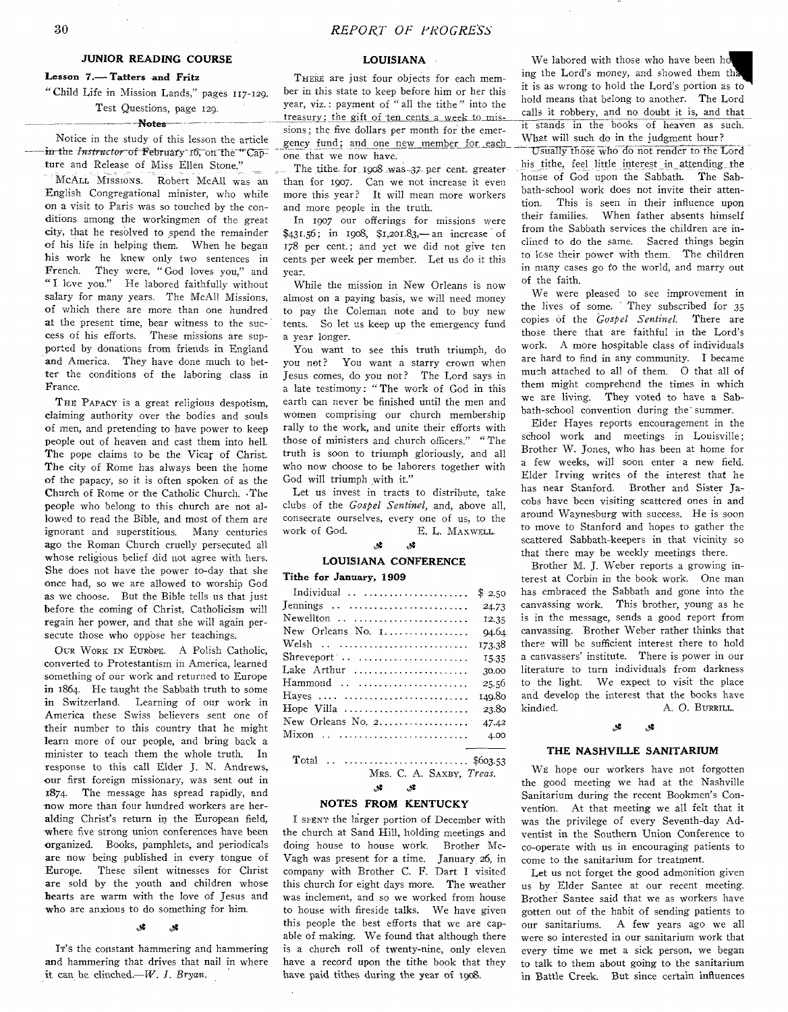## **JUNIOR READING COURSE**

## **Lesson 7.— Tatters and Fritz**

" Child Life in Mission Lands,'' pages 117-129. Test Questions, page 129.

#### $-$ Notes

Notice in the study of this lesson the article in the *Instructor* of February 16, on the "Capture and Release of Miss Ellen Stone."

MCALL MISSIONS. Robert McAll was an English Congregational minister, who while on a visit to Paris was so touched by the conditions among the workingmen of the great city, that he resolved to spend the remainder of his life in helping them. When he began his work he knew only two sentences in French. They were, "God loves you," and "I love you." He labored faithfully without salary for many years. The McAll Missions, of which there are more than one hundred at the present time, bear witness to the suecess of his efforts. These missions are supported by donations from friends in England and America. They have done much to better the conditions of the laboring class in France.

THE PAPACY is a great religious despotism, claiming authority over the bodies and souls of men, and pretending to have power to keep people out of heaven and cast them into hell. The pope claims to be the Vicar of Christ. The city of Rome has always been the home of the papacy, so it is often spoken of as the Church of Rome or the Catholic Church. .The people who belong to this church are not allowed to read the Bible, and most of them are ignorant and superstitious. Many centuries ago the Roman Church cruelly persecuted all whose religious belief did not agree with hers. She does not have the power to-day that she once had, so we are allowed to worship God as we choose. But the Bible tells us that just before the coming of Christ, Catholicism will regain her power, and that she will again persecute those who oppose her teachings.

OUR WORK IN EUROPE. A Polish Catholic, converted to Protestantism in America, learned something of our work and returned to Europe in 1864. He taught the Sabbath truth to some in Switzerland. Learning of our work in America these Swiss believers sent one of their number to this country that he might learn more of our people, and bring back a minister to teach them the whole truth. In response to this call Elder J. N. Andrews, our first foreign missionary, was sent out in 1874. The message has spread rapidly, and mow more than four hundred workers are heralding Christ's return in the European field, where five strong union conferences have been organized. Books, pamphlets, and periodicals are now being published in every tongue of Europe. These silent witnesses for Christ are sold by the youth and children whose hearts are warm with the love of Jesus and who are anxious to do something for him.

## J.

 $\mathcal{S}$ 

Ir's the constant hammering and hammering and hammering that drives that nail in where it can be clinched.—W. *I. Bryan.* 

## **LOUISIANA**

THERE are just four objects for each member in this state to keep before him or her this year, viz.: payment of " all the tithe" into the treasury; the gift of ten cents a week to missions; the five dollars per month for the emergency fund; and one new member for each one that we now have.

The tithe-for  $1908$  was  $-37$  per cent, greater than for 1907. Can we not increase it even more this year? It will mean more workers and more people in the truth.

In 1907 our offerings for missions were \$431.56; in 1908, \$1,201.83,— an increase of 178 per cent.; and yet we did not give ten cents per week per member. Let us do it this year.

While the mission in New Orleans is now almost on a paying basis, we will need money to pay the Coleman note and to buy new tents. So let us keep up the emergency fund a year longer.

You want to see this truth triumph, do you not? You want a starry crown when Jesus comes, do you not? The Lord says in a late testimony: "The work of God in this earth can never be finished until the men and women comprising our church membership rally to the work, and unite their efforts with those of ministers and church officers." " The truth is soon to triumph gloriously, and all who now choose to be laborers together with God will triumph with it."

Let us invest in tracts to distribute, take clubs of the *Gospel Sentinel*, and, above all, consecrate ourselves, every one of us, to the work of God. E. L. MAXWELL.

#### 32

## **LOUISIANA CONFERENCE**

ع.<br>ا

## **Tithe for January, 1909**

| Individual                                                 | \$2.50 |
|------------------------------------------------------------|--------|
| Jennings . $\ldots$                                        | 24.73  |
| $Newellton$                                                | 12.35  |
| New Orleans No. 1                                          | 94.64  |
| Welsh $\dots\dots\dots\dots\dots\dots\dots\dots\dots\dots$ | 173.38 |
| $Shreveport \dots \dots \dots \dots \dots \dots \dots$     | 15.35  |
| Lake Arthur                                                | 30.00  |
| Hammond                                                    | 25.56  |
| Hayes                                                      | 149.80 |
| Hope Villa                                                 | 23.80  |
| New Orleans No. $2, \ldots, \ldots, \ldots, \ldots$        | 47.42  |
| Mixon                                                      | 4.00   |
|                                                            |        |

Total ........................................................ \$603.53 MRS. C. A. SAXBY, Treas.

#### $\mathcal{S}$ کلئ

## **NOTES FROM KENTUCKY**

I sPENT the larger portion of December with the church at Sand Hill, holding meetings and doing house to house work. Brother Mc-Vagh was present for a time. January 26, in company with Brother C. F. Dart I visited this church for eight days more. The weather was inclement, and so we worked from house to house with fireside talks. We have given this people the best efforts that we are capable of making. We found that although there is a church roll of twenty-nine, only eleven have a record upon the tithe book that they have paid tithes during the year of 1908.

ing the Lord's money, and showed them th We labored with those who have been ho it is as wrong to hold the Lord's portion as to hold means that belong to another. The Lord calls it robbery, and no doubt it is, and that it stands in the books of heaven as such. What will such do in the judgment hour?

Usually those who do not render to the Lord his tithe, feel little interest in attending the house of God upon the Sabbath. The Sabbath-school work does not invite their attention. This is seen in their influence upon their families. W hen father absents himself from the Sabbath services the children are inclined to do the same. Sacred things begin to lose their power with them. The children in many cases go to the world, and marry out of the faith.

We were pleased to see improvement in the lives of some. ' They subscribed for 35 copies of the *Gospel Sentinel.* There are those there that are faithful in the Lord's work. A more hospitable class of individuals are hard to find in any community. I became much attached to all of them. O that all of them might comprehend the times in which we are living. They voted to have a Sabbath-school convention during the summer.

Eider Hayes reports encouragement in the school work and meetings in Louisville; Brother W. Jones, who has been at home for a few weeks, will soon enter a new field. Elder Irving writes of the interest that he has near Stanford. Brother and Sister Jacobs have been visiting scattered ones in and around Waynesburg with success. He is soon to move to Stanford and hopes to gather the scattered Sabbath-keepers in that vicinity so that there may be weekly meetings there.

Brother M. J. Weber reports a growing interest at Corbin in the book work. One man has embraced the Sabbath and gone into the canvassing work. This brother, young as he is in the message, sends a good report from canvassing. Brother Weber rather thinks that there will be sufficient interest there to hold a canvassers' institute. There is power in our literature to turn individuals from darkness to the light. We expect to visit the place and develop the interest that the books have kindied. A. O. BURRILL.

#### ه. ړي.

## **THE NASHVILLE SANITARIUM**

WE hope our workers have not forgotten the good meeting we had at the Nashville Sanitarium during the recent Bookmen's Convention. At that meeting we all felt that it was the privilege of every Seventh-day Adventist in the Southern Union Conference to co-operate with us in encouraging patients to come to the sanitarium for treatment.

Let us not forget the good admonition given us by Elder Santee at our recent meeting. Brother Santee said that we as workers have gotten out of the habit of sending patients to our sanitariums. A few years ago we all were so interested in our sanitarium work that every time we met a sick person, we began to talk to them about going to the sanitarium in Battle Creek. But since certain influences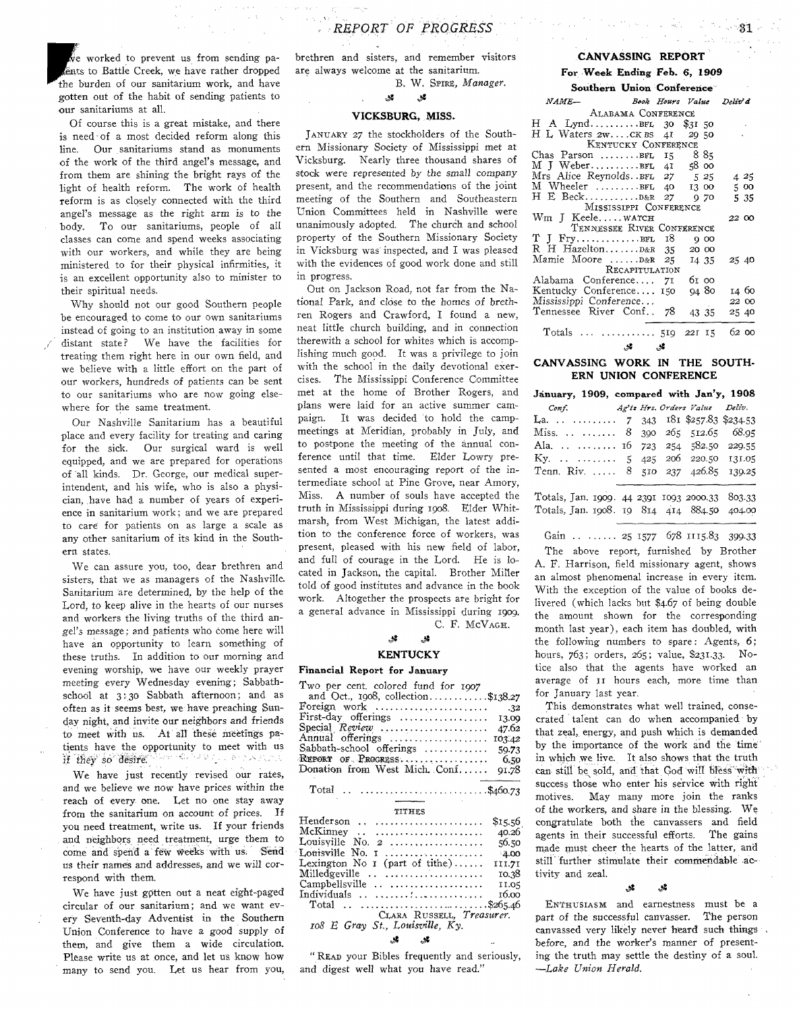$\stackrel{E}{\vee}$  e worked to prevent us from sending paents to Battle Creek, we have rather dropped the burden of our sanitarium work, and have gotten out of the habit of sending patients to our sanitariums at all.

Of course this is a great mistake, and there is need of a most decided reform along this line. Our sanitariums stand as monuments of the work of the third angel's message, and from them are shining the bright rays of the light of health reform. The work of health reform is as closely connected with the third angel's message as the right arm is to the body. To our sanitariums, people of all classes can come and spend weeks associating with our workers, and while they are being ministered to for their physical infirmities, it is an excellent opportunity also to minister to their spiritual needs.

Why should not our good Southern people be encouraged to come to our own sanitariums instead of going to an institution away in some distant state? We have the facilities for treating them right here in our own field, and we believe with a little effort on the part of our workers, hundreds of patients can be sent to our sanitariums who are now going elsewhere for the same treatment.

*Our* Nashville Sanitarium has a beautiful place and every facility for treating and caring for the sick. Our surgical ward is well equipped, and we are prepared for operations of all kinds. Dr. George, our medical superintendent, and his wife, who is also a physician, have had a number of years of experience in sanitarium work; and we are prepared to care for patients on as large a scale as any other sanitarium of its kind in the Southern states.

We can assure you, too, dear brethren and sisters, that we as managers of the Nashville. Sanitarium are determined, by the help of the Lord, to keep alive in the hearts of our nurses and workers the living truths of the third angel's message; and patients who come here will have an opportunity to learn something of these truths. In addition to our morning and evening worship, we have our weekly prayer meeting every Wednesday evening; Sabbathschool at 3:30 Sabbath afternoon; and as often as it seems best, we have preaching Sunday night, and invite our neighbors and friends to meet with us. At all these meetings patients have the opportunity to meet with us if they so desire. For the summary and  $\Delta$   $\sim$ 

We have just recently revised our rates, and we believe we now have prices within the reach of every one. Let no one stay away from the sanitarium on account of prices. If you need treatment, write us. If your friends and neighbors need, treatment, urge them to come and spend a few weeks with us. Send us their name's and addresses, and we will correspond with them.

We have just gotten out a neat eight-paged circular of our sanitarium; and we want every Seventh-day Adventist in the Southern Union Conference to have a good supply of them, and give them a wide circulation. Please write us at once, and let us know how many to send you. Let us hear from you, brethren and sisters, and remember visitors are always welcome at the sanitarium. B. W. SPIRE, Manager.

#### $\mathcal{S}$ گل

## **VICKSBURG, MISS.**

JANUARY 27 the stockholders of the Southern Missionary Society of Mississippi met at Vicksburg. Nearly three thousand shares of stock were represented by *the sm*all company present, and the recommendations of the joint meeting of the Southern and Southeastern Union Committees held in Nashville were unanimously adopted. The church and school property of the Southern Missionary Society in Vicksburg was inspected, and I was pleased with the evidences of good work done and still in progress.

Out on Jackson Road, not far from the National Park, and dose to the homes of brethren Rogers and Crawford, I found a new, neat little church building, and in connection therewith a school for whites which is accomplishing much good. It was a privilege to join with the school in the daily devotional exercises. The Mississippi Conference Committee met at the home of Brother Rogers, and plans were laid for an active summer campaign. It was decided to hold the campmeetings at Meridian, probably in July, and to postpone the meeting of the annual conference until that time. Elder Lowry presented a most encouraging report of the intermediate school at Pine Grove, near Amory, Miss. A number of souls have accepted the truth in Mississippi during 1908. Elder Whitmarsh, from West Michigan, the latest addition to the conference force of workers, was present, pleased with his new field of labor, and full of courage in the Lord. He is located in Jackson, the capital. Brother Miller told of good institutes and advance in the book work. Altogether the prospects are bright for a general advance in Mississippi during 1909. C. F. McVAGH.

## *'t &*

## **KENTUCKY**

## **Financial Report for January**

| Two per cent. colored fund for 1907                                         |
|-----------------------------------------------------------------------------|
| and Oct., 1908, collection\$138.27                                          |
|                                                                             |
| First-day offerings $\dots\dots\dots\dots\dots\dots$ 13.09                  |
|                                                                             |
|                                                                             |
| Sabbath-school offerings  59.73                                             |
| <b>REPORT OF PROGRESS.</b> $\ldots$ , $\ldots$ , $\ldots$ , $\ldots$ , 6.50 |
| Donation from West Mich. Conf 91.78                                         |

Total ..................................\$460.73

| TITHES                                    |         |
|-------------------------------------------|---------|
| $Henderson$                               | \$15.56 |
|                                           | 40.26   |
| Louisville No. $2$                        | 56.50   |
| Louisville No. $1$                        | $-4.00$ |
| Lexington No $\mathbf{r}$ (part of tithe) | 111.71  |
| Milledgeville                             | TO.38   |
| Campbellsville                            | 11.05   |
| Individuals                               | 16.00   |
| Total \$265.46                            |         |
| CLARA RUSSELL, Treasurer.                 |         |
| 108 E Gray St., Louisville, Ky.           |         |
|                                           |         |
|                                           |         |

"READ your Bibles frequently and seriously, and digest well what you have read."

## **CANVASSING REPORT**

## **For Week Ending** *Feb.* **6, 1909**

| Southern Union Conference |  |  |
|---------------------------|--|--|
|                           |  |  |

| <i>NAME</i> —                | Book Hours Value Deliv'd |       |       |        |
|------------------------------|--------------------------|-------|-------|--------|
| ALABAMA CONFERENCE           |                          |       |       |        |
| H A Lynd8FL, 30 \$31 50      |                          |       |       | $\sim$ |
| H L Waters 2wCK BS 4I 29 50  |                          |       |       |        |
| KENTUCKY CONFERENCE          |                          |       |       |        |
| Chas Parson BFL 15 885       |                          |       |       |        |
| M J Weberвғь 41 58 00        |                          |       |       |        |
| Mrs Alice ReynoldsBFL 27 525 |                          |       |       | 4 25   |
| M Wheeler BFL 40 13 00       |                          |       |       | 500    |
| H E BeckD&R 27 970           |                          |       |       | 5 35   |
| MISSISSIPPI CONFERENCE       |                          |       |       |        |
| Wm J Keele warch             |                          |       |       | 22 00  |
| TENNESSEE RIVER CONFERENCE   |                          |       |       |        |
|                              |                          | 00    |       |        |
| $R$ H Hazelton $D & R$ 35    |                          | 20 00 |       |        |
| Mamie Moore D&R 25           |                          | 14 35 |       | 25 40  |
|                              | RECAPITULATION           |       |       |        |
| Alabama Conference 71        |                          |       | 61 00 |        |
| Kentucky Conference 150      |                          |       | 9480  | 14 60  |
| Mississippi Conference       |                          |       |       | 22 00  |
| Tennessee River Conf 78      |                          |       | 43 35 | 25 40  |
| Totals   519 221 15 62 00    |                          |       |       |        |

#### ی.

## **CANVASSING WORK IN THE SOUTH-ERN UNION CONFERENCE**

**January, 1909, compared with Jan'y, 1908**

| Conf. Ag'ts Hrs. Orders Value Deliv.           |  |  |  |
|------------------------------------------------|--|--|--|
| La. 7 343 181 \$257.83 \$234.53                |  |  |  |
| Miss. 8 390 265 512.65 68.95                   |  |  |  |
| Ala 16 723 254 582.50 229.55                   |  |  |  |
| Ky. 5 425 206 220.50 131.05                    |  |  |  |
| Tenn. Riv.  8 510 237 426.85 139.25            |  |  |  |
|                                                |  |  |  |
| Totals, Jan. 1909. 44 2391 1093 2000.33 803.33 |  |  |  |
| Totals, Jan. 1908. 19 814 414 884.50 404.00    |  |  |  |

Gain ......... 25 1577 678 1115.83 399.33

The above report, furnished by Brother A . F. Harrison, field missionary agent, shows an almost phenomenal increase in every item. With the exception of the value of books delivered (which lacks but \$4.67 of being double the amount shown for the corresponding month last year), each item has doubled, with the following numbers to spare: Agents, 6; hours, 763; orders, 265; value, \$231.33. Notice also that the agents have worked an average of 11 hours each, more time than for January last year.

This demonstrates what well trained, consecrated talent can do when accompanied by that zeal, energy, and push which is demanded by the importance of the work and the time in which we live. It also shows that the truth can still he sold, and that God will bless with success those who enter his service with right motives. May many more join the ranks of the workers, and share in the blessing. We congratulate both the canvassers and field agents in their successful efforts. The gains made must cheer the hearts of the latter, and still further stimulate their commendable activity and zeal.

## 3

و.<br>تار

ENTHUSIASM and earnestness must be a part of the successful canvasser. The person canvassed very likely never heard such things before, and the worker's manner of presenting the truth may settle the destiny of a soul. *— Lake Union Herald.*